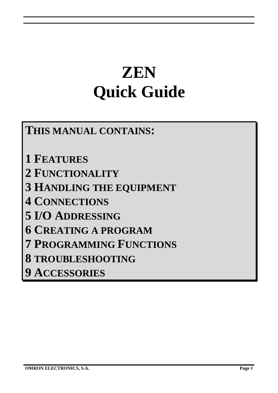# **ZEN Quick Guide**

# **THIS MANUAL CONTAINS:**

**1 FEATURES 2 FUNCTIONALITY 3 HANDLING THE EQUIPMENT 4 CONNECTIONS 5 I/O ADDRESSING 6 CREATING A PROGRAM 7 PROGRAMMING FUNCTIONS 8 TROUBLESHOOTING 9 ACCESSORIES**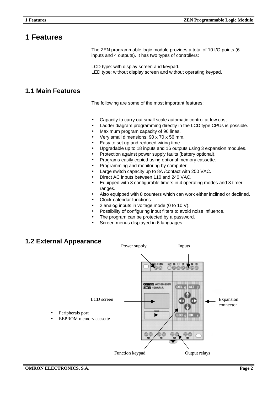# **1 Features**

The ZEN programmable logic module provides a total of 10 I/O points (6 inputs and 4 outputs). It has two types of controllers:

LCD type: with display screen and keypad. LED type: without display screen and without operating keypad.

#### **1.1 Main Features**

The following are some of the most important features:

- Capacity to carry out small scale automatic control at low cost.
- Ladder diagram programming directly in the LCD type CPUs is possible.
- Maximum program capacity of 96 lines.
- Very small dimensions: 90 x 70 x 56 mm.
- Easy to set up and reduced wiring time.
- Upgradable up to 18 inputs and 16 outputs using 3 expansion modules.
- Protection against power supply faults (battery optional).
- Programs easily copied using optional memory cassette.
- Programming and monitoring by computer.
- Large switch capacity up to 8A /contact with 250 VAC.
- Direct AC inputs between 110 and 240 VAC.
- Equipped with 8 configurable timers in 4 operating modes and 3 timer ranges.
- Also equipped with 8 counters which can work either inclined or declined.
- Clock-calendar functions.
- 2 analog inputs in voltage mode (0 to 10 V).
- Possibility of configuring input filters to avoid noise influence.
- The program can be protected by a password.
- Screen menus displayed in 6 languages.

### **1.2 External Appearance**

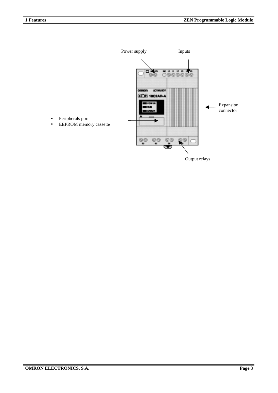

Output relays

- Peripherals port
- EEPROM memory cassette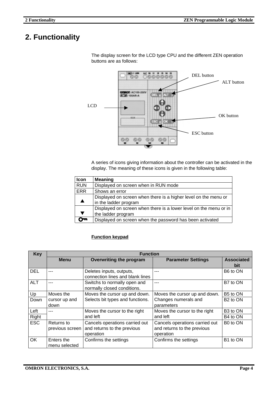# **2. Functionality**



The display screen for the LCD type CPU and the different ZEN operation buttons are as follows:

A series of icons giving information about the controller can be activated in the display. The meaning of these icons is given in the following table:

| Icon       | <b>Meaning</b>                                                    |
|------------|-------------------------------------------------------------------|
| <b>RUN</b> | Displayed on screen when in RUN mode                              |
| <b>ERR</b> | Shows an error                                                    |
|            | Displayed on screen when there is a higher level on the menu or   |
|            | in the ladder program                                             |
|            | Displayed on screen when there is a lower level on the menu or in |
|            | the ladder program                                                |
|            | Displayed on screen when the password has been activated          |

#### **Function keypad**

| <b>Key</b> | <b>Function</b> |                                  |                                |                      |  |  |  |
|------------|-----------------|----------------------------------|--------------------------------|----------------------|--|--|--|
|            | <b>Menu</b>     | <b>Overwriting the program</b>   | <b>Parameter Settings</b>      | <b>Associated</b>    |  |  |  |
|            |                 |                                  |                                | bit                  |  |  |  |
| <b>DEL</b> |                 | Deletes inputs, outputs,         |                                | B6 to ON             |  |  |  |
|            |                 | connection lines and blank lines |                                |                      |  |  |  |
| <b>ALT</b> |                 | Switchs to normally open and     | ---                            | B7 to ON             |  |  |  |
|            |                 | normally closed conditions.      |                                |                      |  |  |  |
| Up         | Moves the       | Moves the cursor up and down.    | Moves the cursor up and down.  | B5 to ON             |  |  |  |
| Down       | cursor up and   | Selects bit types and functions. | Changes numerals and           | B <sub>2</sub> to ON |  |  |  |
|            | down            |                                  | parameters                     |                      |  |  |  |
| Left       |                 | Moves the cursor to the right    | Moves the cursor to the right  | B <sub>3</sub> to ON |  |  |  |
| Right      |                 | and left                         | and left                       | B4 to ON             |  |  |  |
| <b>ESC</b> | Returns to      | Cancels operations carried out   | Cancels operations carried out | B <sub>0</sub> to ON |  |  |  |
|            | previous screen | and returns to the previous      | and returns to the previous    |                      |  |  |  |
|            |                 | operation                        | operation                      |                      |  |  |  |
| OK.        | Enters the      | Confirms the settings            | Confirms the settings          | B1 to ON             |  |  |  |
|            | menu selected   |                                  |                                |                      |  |  |  |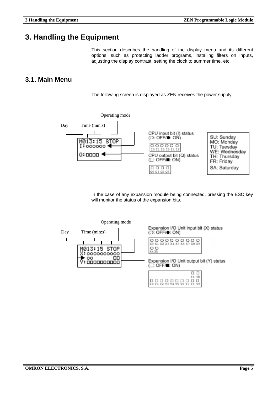# **3. Handling the Equipment**

This section describes the handling of the display menu and its different options, such as protecting ladder programs, installing filters on inputs, adjusting the display contrast, setting the clock to summer time, etc.

#### **3.1. Main Menu**

The following screen is displayed as ZEN receives the power supply:



In the case of any expansion module being connected, pressing the ESC key will monitor the status of the expansion bits.

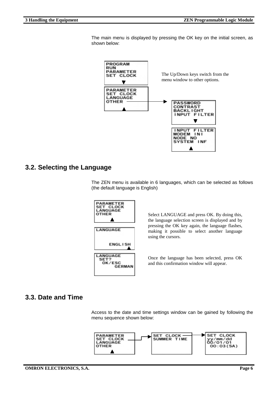The main menu is displayed by pressing the OK key on the initial screen, as shown below:



#### **3.2. Selecting the Language**

The ZEN menu is available in 6 languages, which can be selected as follows (the default language is English)



Select LANGUAGE and press OK. By doing this, the language selection screen is displayed and by pressing the OK key again, the language flashes, making it possible to select another language using the cursors.

Once the language has been selected, press OK and this confirmation window will appear.

#### **3.3. Date and Time**

Access to the date and time settings window can be gained by following the menu sequence shown below:

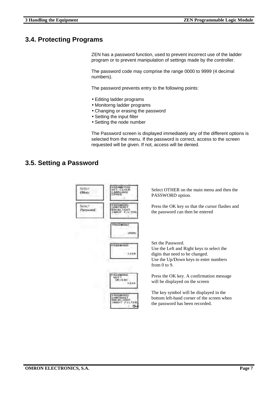#### **3.4. Protecting Programs**

ZEN has a password function, used to prevent incorrect use of the ladder program or to prevent manipulation of settings made by the controller.

The password code may comprise the range 0000 to 9999 (4 decimal numbers).

The password prevents entry to the following points:

- Editing ladder programs
- Monitorng ladder programs
- Changing or erasing the password
- Setting the input filter
- Setting the node number

The Password screen is displayed immediately any of the different options is selected from the menu. If the password is correct, access to the screen requested will be given. If not, access will be denied.

#### **3.5. Setting a Password**

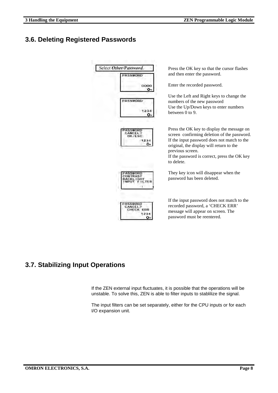### **3.6. Deleting Registered Passwords**

| Select Other/Password.<br><b>PASSWORD</b> | Press the OK key so that the cursor flashes<br>and then enter the password.                                                                                                                                                                                            |
|-------------------------------------------|------------------------------------------------------------------------------------------------------------------------------------------------------------------------------------------------------------------------------------------------------------------------|
| 0000<br>ο                                 | Enter the recorded password.                                                                                                                                                                                                                                           |
| PASSWOR                                   | Use the Left and Right keys to change the<br>numbers of the new password<br>Use the Up/Down keys to enter numbers<br>between $0$ to $9$ .                                                                                                                              |
| 234<br>o.                                 | Press the OK key to display the message on<br>screen confirming deletion of the password.<br>If the input password does not match to the<br>original, the display will return to the<br>previous screen.<br>If the password is correct, press the OK key<br>to delete. |
|                                           | They key icon will disappear when the<br>password has been deleted.                                                                                                                                                                                                    |
| ERR<br>ο                                  | If the input password does not match to the<br>recorded password, a 'CHECK ERR'<br>message will appear on screen. The<br>password must be reentered.                                                                                                                   |

# **3.7. Stabilizing Input Operations**

If the ZEN external input fluctuates, it is possible that the operations will be unstable. To solve this, ZEN is able to filter inputs to stablilize the signal.

The input filters can be set separately, either for the CPU inputs or for each I/O expansion unit.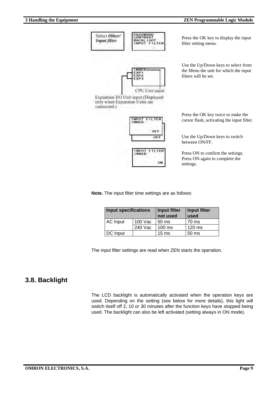

Press the OK key twice to make the cursor flash, activating the input filter.

Use the Up/Down keys to switch between ON/FF.

Press ON to confirm the settings. Press ON again to complete the settings.

**Note.** The input filter time settings are as follows:

| <b>Input specifications</b> |         | Input filter<br>not used | Input filter<br>used |
|-----------------------------|---------|--------------------------|----------------------|
| AC Input                    | 100 Vac | 50 <sub>ms</sub>         | 70 ms                |
|                             | 240 Vac | $100 \text{ ms}$         | $120 \text{ ms}$     |
| DC Input                    |         | 15 <sub>ms</sub>         | 50 <sub>ms</sub>     |

ON

The input filter settings are read when ZEN starts the operation.

#### **3.8. Backlight**

The LCD backlight is automatically activated when the operation keys are used. Depending on the setting (see below for more details), this light will switch itself off 2, 10 or 30 minutes after the function keys have stopped being used. The backlight can also be left activated (setting always in ON mode).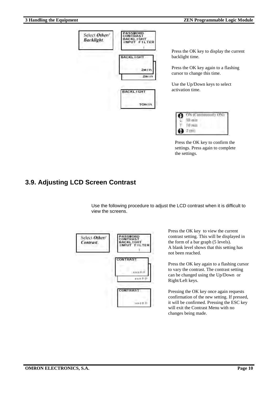

Press the OK key to display the current backlight time.

Press the OK key again to a flashing cursor to change this time.

Use the Up/Down keys to select activation time.



Press the OK key to confirm the settings. Press again to complete the settings.

#### **3.9. Adjusting LCD Screen Contrast**

Use the following procedure to adjust the LCD contrast when it is difficult to view the screens.



Press the OK key to view the current contrast setting. This will be displayed in the form of a bar graph (5 levels). A blank level shows that this setting has not been reached.

Press the OK key again to a flashing cursor to vary the contrast. The contrast setting can be changed using the Up/Down or Right/Left keys.

Pressing the OK key once again requests confirmation of the new setting. If pressed, it will be confirmed. Pressing the ESC key will exit the Contrast Menu with no changes being made.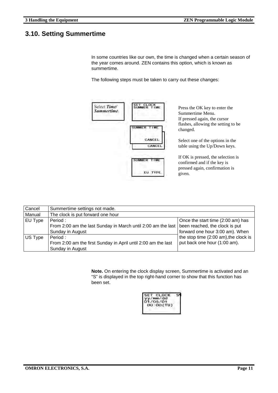### **3.10. Setting Summertime**

In some countries like our own, the time is changed when a certain season of the year comes around. ZEN contains this option, which is known as summertime.

The following steps must be taken to carry out these changes:



| Cancel  | Summertime settings not made.                                                                 |                                       |
|---------|-----------------------------------------------------------------------------------------------|---------------------------------------|
| Manual  | The clock is put forward one hour                                                             |                                       |
| EU Type | Period:                                                                                       | Once the start time (2:00 am) has     |
|         | From 2:00 am the last Sunday in March until 2:00 am the last   been reached, the clock is put |                                       |
|         | Sunday in August                                                                              | forward one hour 3:00 am). When       |
| US Type | Period:                                                                                       | the stop time (2:00 am), the clock is |
|         | From 2:00 am the first Sunday in April until 2:00 am the last                                 | put back one hour (1:00 am).          |
|         | Sunday in August                                                                              |                                       |

**Note.** On entering the clock display screen, Summertime is activated and an "S" is displayed in the top right-hand corner to show that this function has been set.

| F. | <b>GLOCK</b><br>nun/dd<br>05/0<br>00:00 (TU) |  |
|----|----------------------------------------------|--|
|    |                                              |  |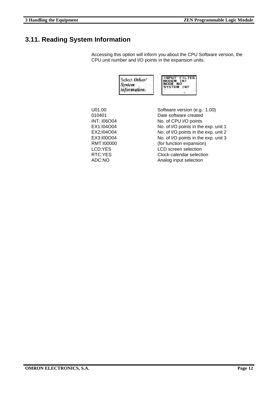# **3.11. Reading System Information**

Accessing this option will inform you about the CPU Software version, the CPU unit number and I/O points in the expansion units.

| Select Other/<br><b>System</b><br>information. | INPUT FILTER<br><b>MODEM</b><br><b>NODE</b><br>1NF<br><b>SYSTEM</b> |
|------------------------------------------------|---------------------------------------------------------------------|
|                                                |                                                                     |

| U01.00             | Software version (e.g.: 1.00)        |
|--------------------|--------------------------------------|
| 010401             | Date software created                |
| <b>INT: I06O04</b> | No. of CPU I/O points                |
| EX1:104O04         | No. of I/O points in the exp. unit 1 |
| EX2:104O04         | No. of I/O points in the exp. unit 2 |
| EX3:100O04         | No. of I/O points in the exp. unit 3 |
| RMT:100000         | (for function expansion)             |
| LCD:YES            | <b>LCD</b> screen selection          |
| RTC:YES            | Clock-calendar selection             |
| ADC:NO             | Analog input selection               |
|                    |                                      |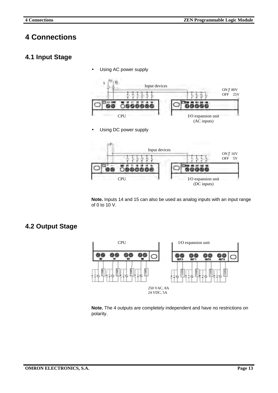# **4 Connections**

#### **4.1 Input Stage**

• Using AC power supply



Using DC power supply



**Note.** Inputs 14 and 15 can also be used as analog inputs with an input range of 0 to 10 V.

#### **4.2 Output Stage**



**Note.** The 4 outputs are completely independent and have no restrictions on polarity.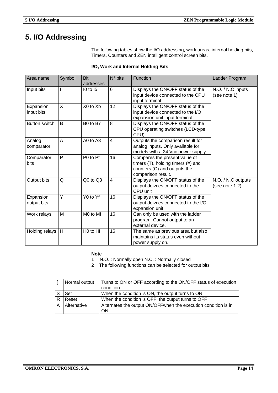# **5. I/O Addressing**

The following tables show the I/O addressing, work areas, internal holding bits, Timers, Counters and ZEN intelligent control screen bits.

#### **I/O, Work and Internal Holding Bits**

| Area name                | Symbol       | <b>Bit</b><br>addresses | $N^{\circ}$ bits | Function                                                                                                                        | Ladder Program                       |
|--------------------------|--------------|-------------------------|------------------|---------------------------------------------------------------------------------------------------------------------------------|--------------------------------------|
| Input bits               |              | <b>10 to 15</b>         | 6                | Displays the ON/OFF status of the<br>input device connected to the CPU<br>input terminal                                        | N.O. / N.C inputs<br>(see note 1)    |
| Expansion<br>input bits  | $\mathsf{X}$ | X0 to Xb                | 12               | Displays the ON/OFF status of the<br>input device connected to the I/O<br>expansion unit input terminal                         |                                      |
| Button switch            | B            | B0 to B7                | 8                | Displays the ON/OFF status of the<br>CPU operating switches (LCD-type<br>CPU)                                                   |                                      |
| Analog<br>comparator     | A            | A0 to A3                | $\overline{4}$   | Outputs the comparison result for<br>analog inputs. Only available for<br>models with a 24 Vcc power supply.                    |                                      |
| Comparator<br>bits       | P            | P0 to Pf                | 16               | Compares the present value of<br>timers $(T)$ , holding timers $(\#)$ and<br>counters (C) and outputs the<br>comparison result. |                                      |
| Output bits              | Q            | Q0 to Q3                | 4                | Displays the ON/OFF status of the<br>output deivces connected to the<br>CPU unit                                                | N.O. / N.C outputs<br>(see note 1.2) |
| Expansion<br>output bits | Y            | Y0 to Yf                | 16               | Displays the ON/OFF status of the<br>output deivces connected to the I/O<br>expansion unit                                      |                                      |
| Work relays              | M            | M0 to Mf                | 16               | Can only be used with the ladder<br>program. Cannot output to an<br>external device.                                            |                                      |
| Holding relays           | H            | H <sub>0</sub> to Hf    | 16               | The same as previous area but also<br>maintains its status even without<br>power supply on.                                     |                                      |

#### **Note**

1 N.O. : Normally open N.C. : Normally closed

2 The following functions can be selected for output bits

| Normal output | Turns to ON or OFF according to the ON/OFF status of execution        |
|---------------|-----------------------------------------------------------------------|
|               | condition                                                             |
| Set           | When the condition is ON, the output turns to ON                      |
| Reset         | When the condition is OFF, the output turns to OFF                    |
| Alternative   | Alternates the output ON/OFF when the execution condition is in<br>ON |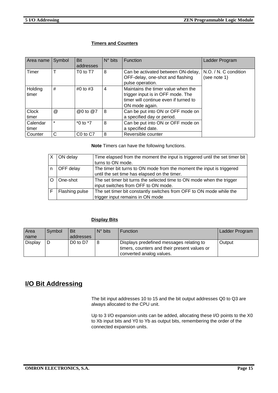#### **Timers and Counters**

| Area name             | Symbol  | Bit                              | $N^{\circ}$ bits | <b>Function</b>                                                                                                                    | Ladder Program                        |
|-----------------------|---------|----------------------------------|------------------|------------------------------------------------------------------------------------------------------------------------------------|---------------------------------------|
|                       |         | addresses                        |                  |                                                                                                                                    |                                       |
| Timer                 |         | T <sub>0</sub> to T <sub>7</sub> | 8                | Can be activated between ON-delay,<br>OFF-delay, one-shot and flashing<br>pulse operation.                                         | N.O. / N. C condition<br>(see note 1) |
| Holding<br>timer      | #       | #0 to $#3$                       | 4                | Maintains the timer value when the<br>trigger input is in OFF mode. The<br>timer will continue even if turned to<br>ON mode again. |                                       |
| <b>Clock</b><br>timer | @       | @0 to @7                         | 8                | Can be put into ON or OFF mode on<br>a specified day or period.                                                                    |                                       |
| Calendar<br>timer     | $\star$ | $*0$ to $*7$                     | 8                | Can be put into ON or OFF mode on<br>a specified date.                                                                             |                                       |
| Counter               | C       | C <sub>0</sub> to C <sub>7</sub> | 8                | Reversible counter                                                                                                                 |                                       |

**Note** Timers can have the following functions.

| ON delay       | Time elapsed from the moment the input is triggered until the set timer bit |
|----------------|-----------------------------------------------------------------------------|
|                | turns to ON mode.                                                           |
| OFF delay      | The timer bit turns to ON mode from the moment the input is triggered       |
|                | until the set time has elapsed on the timer.                                |
| One-shot       | The set timer bit turns the selected time to ON mode when the trigger       |
|                | input switches from OFF to ON mode.                                         |
| Flashing pulse | The set timer bit constantly switches from OFF to ON mode while the         |
|                | trigger input remains in ON mode                                            |

#### **Display Bits**

| Area           | Svmbol | Bit                              | $N^{\circ}$ bits | <b>Function</b>                              | Ladder Program |
|----------------|--------|----------------------------------|------------------|----------------------------------------------|----------------|
| name           |        | addresses                        |                  |                                              |                |
| <b>Display</b> |        | D <sub>0</sub> to D <sub>7</sub> |                  | Displays predefined messages relating to     | Output         |
|                |        |                                  |                  | timers, counters and their present values or |                |
|                |        |                                  |                  | converted analog values.                     |                |

### **I/O Bit Addressing**

The bit input addresses 10 to 15 and the bit output addresses Q0 to Q3 are always allocated to the CPU unit.

Up to 3 I/O expansion units can be added, allocating these I/O points to the X0 to Xb input bits and Y0 to Yb as output bits, remembering the order of the connected expansion units.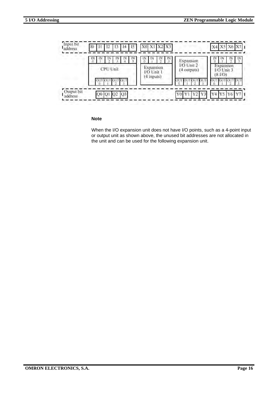

#### **Note**

When the I/O expansion unit does not have I/O points, such as a 4-point input or output unit as shown above, the unused bit addresses are not allocated in the unit and can be used for the following expansion unit.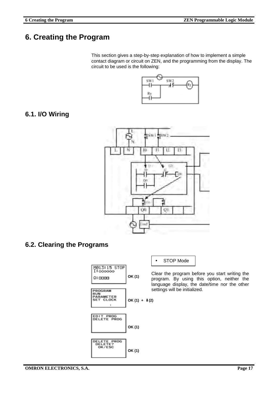# **6. Creating the Program**

This section gives a step-by-step explanation of how to implement a simple contact diagram or circuit on ZEN, and the programming from the display. The circuit to be used is the following:



# **6.1. I/O Wiring**



#### **6.2. Clearing the Programs**



• STOP Mode

Clear the program before you start writing the program. By using this option, neither the language display, the date/time nor the other settings will be initialized.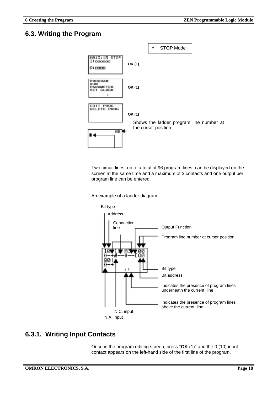#### **6.3. Writing the Program**



Two circuit lines, up to a total of 96 program lines, can be displayed on the screen at the same time and a maximum of 3 contacts and one output per program line can be entered.

An example of a ladder diagram:



#### **6.3.1. Writing Input Contacts**

Once in the program editing screen, press "**OK** (1)" and the 0 (10) input contact appears on the left-hand side of the first line of the program.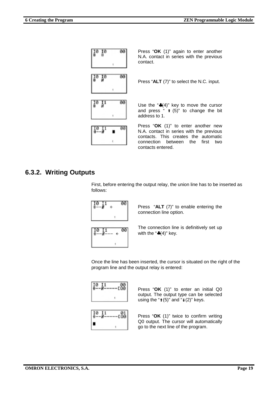

Press "**OK** (1)" again to enter another N.A. contact in series with the previous contact.

Press "**ALT** (7)" to select the N.C. input.

Use the "♣(4)" key to move the cursor and press  $\cdot$   $\uparrow$   $(5)$ " to change the bit address to 1.

Press "**OK** (1)" to enter another new N.A. contact in series with the previous contacts. This creates the automatic connection between the first two contacts entered.

#### **6.3.2. Writing Outputs**

First, before entering the output relay, the union line has to be inserted as follows:



Press "**ALT** (7)" to enable entering the connection line option.



The connection line is definitively set up with the " $\clubsuit$ (4)" key.

Once the line has been inserted, the cursor is situated on the right of the program line and the output relay is entered:

| G.<br>-- |  |
|----------|--|
|          |  |



Press "**OK** (1)" to enter an initial Q0 output. The output type can be selected using the " $\uparrow$  (5)" and " $\downarrow$  (2)" keys.

Press "**OK** (1)" twice to confirm writing Q0 output. The cursor will automatically go to the next line of the program.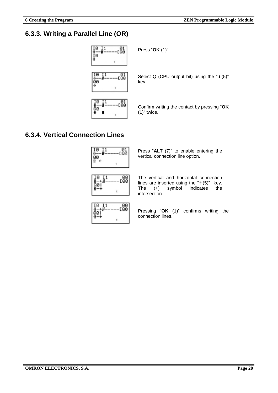#### **6.3.3. Writing a Parallel Line (OR)**



Press "**OK** (1)".

Select Q (CPU output bit) using the "⇑ (5)"

Confirm writing the contact by pressing "**OK** (1)" twice.

#### **6.3.4. Vertical Connection Lines**



Press "**ALT** (7)" to enable entering the vertical connection line option.

The vertical and horizontal connection lines are inserted using the "⇑ (5)" key. The (+) symbol indicates the intersection.



Pressing "**OK** (1)" confirms writing the connection lines.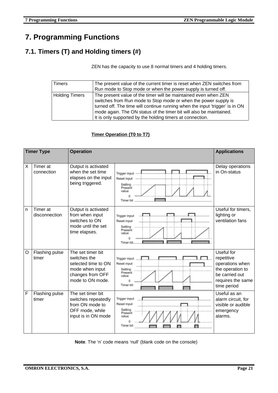# **7. Programming Functions**

# **7.1. Timers (T) and Holding timers (#)**

ZEN has the capacity to use 8 normal timers and 4 holding timers.

| Timers         | The present value of the current timer is reset when ZEN switches from       |  |  |
|----------------|------------------------------------------------------------------------------|--|--|
|                | Run mode to Stop mode or when the power supply is turned off.                |  |  |
| Holding Timers | The present value of the timer will be maintained even when ZEN              |  |  |
|                | switches from Run mode to Stop mode or when the power supply is              |  |  |
|                | turned off. The time will continue running when the input 'trigger' is in ON |  |  |
|                | mode again. The ON status of the timer bit will also be maintained.          |  |  |
|                | It is only supported by the holding timers at connection.                    |  |  |

#### **Timer Operation (T0 to T7)**

| <b>Timer Type</b> |                           | <b>Operation</b>                                                                                                    |                                                                                             | <b>Applications</b>                                                                                                   |
|-------------------|---------------------------|---------------------------------------------------------------------------------------------------------------------|---------------------------------------------------------------------------------------------|-----------------------------------------------------------------------------------------------------------------------|
| X                 | Timer at<br>connection    | Output is activated<br>when the set time<br>elapses on the input<br>being triggered.                                | Trigger input<br>Reset input<br>Setting<br>Present<br>value<br>Timer bit                    | Delay operations<br>in On-status                                                                                      |
| n                 | Timer at<br>disconnection | Output is activated<br>from when input<br>switches to ON<br>mode until the set<br>time elapses.                     | Trigger input<br>Reset input<br>Setting<br>Present<br>value<br>Timer bit                    | Useful for timers,<br>lighting or<br>ventilation fans                                                                 |
| O                 | Flashing pulse<br>timer   | The set timer bit<br>switches the<br>selected time to ON<br>mode when input<br>changes from OFF<br>mode to ON mode. | Trigger input<br>Reset input<br>Setting<br>Present<br>value<br>$\Omega$<br><b>Timer bit</b> | Useful for<br>repetitive<br>operations when<br>the operation to<br>be carried out<br>requires the same<br>time period |
| F                 | Flashing pulse<br>timer   | The set timer bit<br>switches repeatedly<br>from ON mode to<br>OFF mode, while<br>input is in ON mode               | Trigger input<br>Reset input<br>Setting<br>Present<br>value<br>Timer bit                    | Useful as an<br>alarm circuit, for<br>visible or audible<br>emergency<br>alarms.                                      |

**Note**. The 'n' code means 'null' (blank code on the console)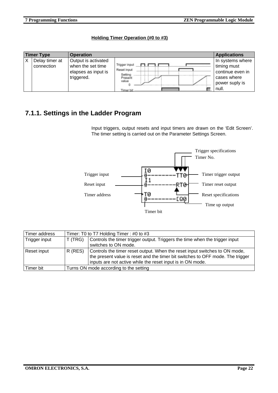#### **Holding Timer Operation (#0 to #3)**

| <b>Timer Type</b> |                              | <b>Operation</b>                                                              |                                                                          | <b>Applications</b>                                                                           |
|-------------------|------------------------------|-------------------------------------------------------------------------------|--------------------------------------------------------------------------|-----------------------------------------------------------------------------------------------|
|                   | Delay timer at<br>connection | Output is activated<br>when the set time<br>elapses as input is<br>triggered. | Trigger input<br>Reset input<br>Setting<br>Present<br>value<br>Timer bit | In systems where<br>timing must<br>continue even in<br>cases where<br>power suply is<br>null. |

### **7.1.1. Settings in the Ladder Program**

Input triggers, output resets and input timers are drawn on the 'Edit Screen'. The timer setting is carried out on the Parameter Settings Screen.



| Timer address | Timer: T0 to T7 Holding Timer: #0 to #3 |                                                                                                                                                                                                                            |  |  |
|---------------|-----------------------------------------|----------------------------------------------------------------------------------------------------------------------------------------------------------------------------------------------------------------------------|--|--|
| Trigger input | T (TRG)                                 | Controls the timer trigger output. Triggers the time when the trigger input<br>switches to ON mode.                                                                                                                        |  |  |
| Reset input   | R (RES)                                 | Controls the timer reset output. When the reset input switches to ON mode,<br>the present value is reset and the timer bit switches to OFF mode. The trigger<br>inputs are not active while the reset input is in ON mode. |  |  |
| Timer bit     | Turns ON mode according to the setting  |                                                                                                                                                                                                                            |  |  |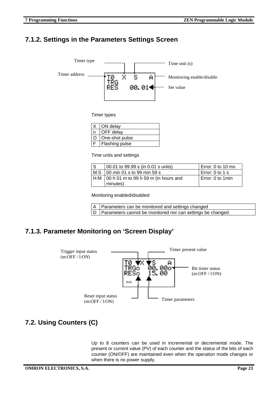#### **7.1.2. Settings in the Parameters Settings Screen**



Timer types

| ON delay       |  |  |
|----------------|--|--|
| OFF delay      |  |  |
| One-shot pulse |  |  |
| Flashing pulse |  |  |

Time units and settings

| IS. | 00.01 to 99.99 s (in 0.01 s units)                       | Error: 0 to 10 ms |
|-----|----------------------------------------------------------|-------------------|
|     |                                                          | Error: 0 to 1 s   |
|     | $H:M$   00 h 01 m to 99 h 59 m (in hours and<br>minutes) | Error: 0 to 1 min |

Monitoring enabled/disabled

| A Parameters can be monitored and settings changed             |
|----------------------------------------------------------------|
| D   Parameters cannot be monitored nor can settings be changed |

### **7.1.3. Parameter Monitoring on 'Screen Display'**



# **7.2. Using Counters (C)**

Up to 8 counters can be used in incremental or decremental mode. The present or current value (PV) of each counter and the status of the bits of each counter (ON/OFF) are maintained even when the operation mode changes or when there is no power supply.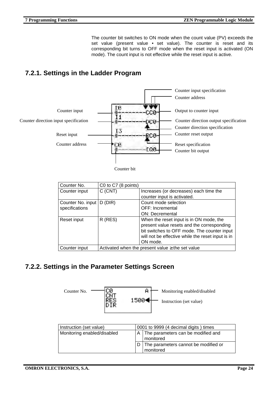The counter bit switches to ON mode when the count value (PV) exceeds the set value (present value • set value). The counter is reset and its corresponding bit turns to OFF mode when the reset input is activated (ON mode). The count input is not effective while the reset input is active.

# **7.2.1. Settings in the Ladder Program**



Counter bit

| Counter No.                                                            | C0 to C7 (8 points) |                                                   |
|------------------------------------------------------------------------|---------------------|---------------------------------------------------|
| Counter input                                                          | $C$ (CNT)           | Increases (or decreases) each time the            |
|                                                                        |                     | counter input is activated.                       |
| Counter No. input                                                      | D(DIR)              | Count mode selection                              |
| specifications                                                         |                     | <b>OFF: Incremental</b>                           |
|                                                                        |                     | <b>ON: Decremental</b>                            |
| Reset input                                                            | $R$ (RES)           | When the reset input is in ON mode, the           |
|                                                                        |                     | present value resets and the corresponding        |
|                                                                        |                     | bit switches to OFF mode. The counter input       |
|                                                                        |                     | will not be effective while the reset input is in |
|                                                                        |                     | ON mode.                                          |
| Activated when the present value $\geq$ the set value<br>Counter input |                     |                                                   |

### **7.2.2. Settings in the Parameter Settings Screen**



| Instruction (set value)     |  | 0001 to 9999 (4 decimal digits) times                 |  |  |
|-----------------------------|--|-------------------------------------------------------|--|--|
| Monitoring enabled/disabled |  | The parameters can be modified and<br>AI<br>monitored |  |  |
|                             |  | The parameters cannot be modified or<br>monitored     |  |  |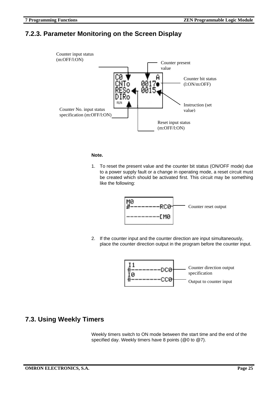#### **7.2.3. Parameter Monitoring on the Screen Display**



#### **Note.**

1. To reset the present value and the counter bit status (ON/OFF mode) due to a power supply fault or a change in operating mode, a reset circuit must be created which should be activated first. This circuit may be something like the following:



2. If the counter input and the counter direction are input simultaneously, place the counter direction output in the program before the counter input.



#### **7.3. Using Weekly Timers**

Weekly timers switch to ON mode between the start time and the end of the specified day. Weekly timers have 8 points (@0 to @7).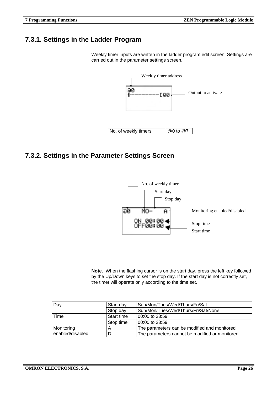#### **7.3.1. Settings in the Ladder Program**

Weekly timer inputs are written in the ladder program edit screen. Settings are carried out in the parameter settings screen.



#### **7.3.2. Settings in the Parameter Settings Screen**



**Note.** When the flashing cursor is on the start day, press the left key followed by the Up/Down keys to set the stop day. If the start day is not correctly set, the timer will operate only according to the time set.

| Day              | Start day  | Sun/Mon/Tues/Wed/Thurs/Fri/Sat                 |
|------------------|------------|------------------------------------------------|
|                  | Stop day   | Sun/Mon/Tues/Wed/Thurs/Fri/Sat/None            |
| Time             | Start time | 00:00 to 23:59                                 |
|                  | Stop time  | 00:00 to 23:59                                 |
| Monitoring       |            | The parameters can be modified and monitored   |
| enabled/disabled |            | The parameters cannot be modified or monitored |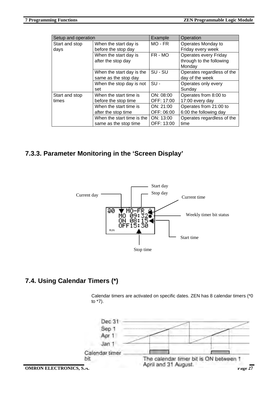| Setup and operation |                            | Example     | Operation                    |
|---------------------|----------------------------|-------------|------------------------------|
| Start and stop      | When the start day is      | $MO$ - $FR$ | Operates Monday to           |
| days                | before the stop day        |             | Friday every week            |
|                     | When the start day is      | FR - MO     | <b>Operates every Friday</b> |
|                     | after the stop day         |             | through to the following     |
|                     |                            |             | Monday                       |
|                     | When the start day is the  | SU - SU     | Operates regardless of the   |
|                     | same as the stop day       |             | day of the week              |
|                     | When the stop day is not   | $SU -$      | Operates only every          |
|                     | set                        |             | Sunday                       |
| Start and stop      | When the start time is     | ON: 08:00   | Operates from 8:00 to        |
| times               | before the stop time       | OFF: 17:00  | 17:00 every day              |
|                     | When the start time is     | ON: 21:00   | Operates from 21:00 to       |
|                     | after the stop time        | OFF: 06:00  | 6:00 the following day       |
|                     | When the start time is the | ON: 13:00   | Operates regardless of the   |
|                     | same as the stop time      | OFF: 13:00  | time                         |

# **7.3.3. Parameter Monitoring in the 'Screen Display'**



#### **7.4. Using Calendar Timers (\*)**

Calendar timers are activated on specific dates. ZEN has 8 calendar timers (\*0 to \*7).

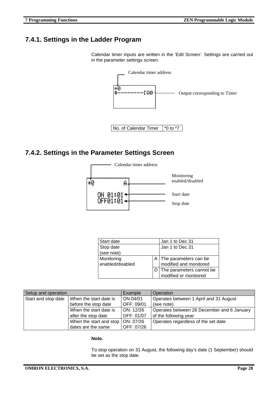#### **7.4.1. Settings in the Ladder Program**

Calendar timer inputs are written in the 'Edit Screen'. Settings are carried out in the parameter settings screen.



#### **7.4.2. Settings in the Parameter Settings Screen**



| Start date       | Jan 1 to Dec 31              |
|------------------|------------------------------|
| Stop date        | Jan 1 to Dec 31              |
| (see note)       |                              |
| Monitoring       | A   The parameters can be    |
| enabled/disabled | modified and monitored       |
|                  | D   The parameters cannot be |
|                  | modified or monitored        |

| Setup and operation |                                      | Example    | Operation                                  |
|---------------------|--------------------------------------|------------|--------------------------------------------|
| Start and stop date | When the start date is               | ON:04/01   | Operates between 1 April and 31 August     |
|                     | before the stop date                 | OFF: 09/01 | (see note)                                 |
|                     | When the start date is               | ON: 12/26  | Operates between 26 December and 6 January |
|                     | after the stop date                  | OFF: 01/07 | of the following year                      |
|                     | When the start and stop $ ON: 07/26$ |            | Operates regardless of the set date        |
|                     | dates are the same                   | OFF: 07/26 |                                            |

**Note.**

To stop operation on 31 August, the following day's date (1 September) should be set as the stop date.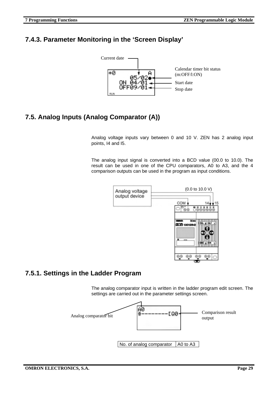### **7.4.3. Parameter Monitoring in the 'Screen Display'**



# **7.5. Analog Inputs (Analog Comparator (A))**

Analog voltage inputs vary between 0 and 10 V. ZEN has 2 analog input points, I4 and I5.

The analog input signal is converted into a BCD value (00.0 to 10.0). The result can be used in one of the CPU comparators, A0 to A3, and the 4 comparison outputs can be used in the program as input conditions.



#### **7.5.1. Settings in the Ladder Program**

The analog comparator input is written in the ladder program edit screen. The settings are carried out in the parameter settings screen.

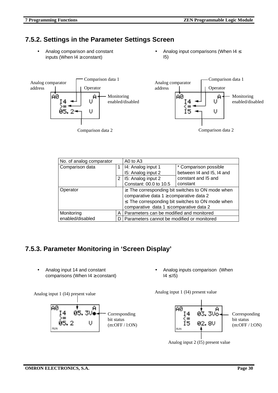#### **7.5.2. Settings in the Parameter Settings Screen**

• Analog comparison and constant inputs (When I4 ≥ constant)

Analog input comparisons (When  $14 \leq$ I5)



| No. of analog comparator |                                               | A0 to A3                                                |                           |  |
|--------------------------|-----------------------------------------------|---------------------------------------------------------|---------------------------|--|
| Comparison data          |                                               | 14: Analog input 1                                      | * Comparison possible     |  |
|                          |                                               | 15: Analog input 2                                      | between I4 and I5, I4 and |  |
|                          | 2                                             | 15: Analog input 2                                      | constant and 15 and       |  |
|                          |                                               | Constant: 00.0 to 10.5                                  | constant                  |  |
| Operator                 |                                               | $\geq$ : The corresponding bit switches to ON mode when |                           |  |
|                          |                                               | comparative data $1 \geq$ comparative data 2            |                           |  |
|                          |                                               | $\leq$ : The corresponding bit switches to ON mode when |                           |  |
|                          |                                               | comparative data $1 \leq$ comparative data 2            |                           |  |
| Monitoring               | Parameters can be modified and monitored<br>A |                                                         |                           |  |
| enabled/disabled         | Parameters cannot be modified or monitored    |                                                         |                           |  |

### **7.5.3. Parameter Monitoring in 'Screen Display'**

• Analog input 14 and constant comparisons (When I4 ≥ constant)

Analog input 1 (I4) present value



• Analog inputs comparison (When  $14 \leq 15$ 

Analog input 1 (I4) present value



Analog input 2 (I5) present value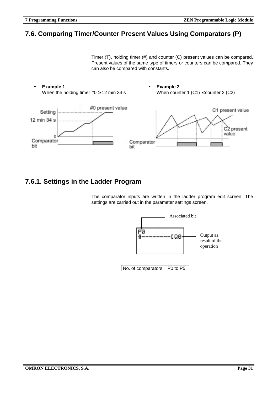#### **7.6. Comparing Timer/Counter Present Values Using Comparators (P)**

Timer (T), holding timer (#) and counter (C) present values can be compared. Present values of the same type of timers or counters can be compared. They can also be compared with constants.



#### **7.6.1. Settings in the Ladder Program**

The comparator inputs are written in the ladder program edit screen. The settings are carried out in the parameter settings screen.



 $\vert$  No. of comparators  $\vert$  P0 to P5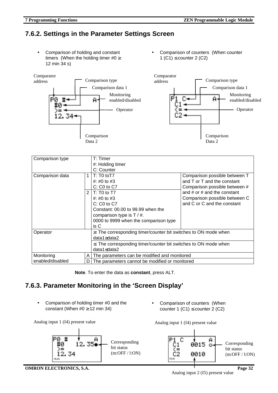Analog input 2 (I5) present value

# **7.6.2. Settings in the Parameter Settings Screen**

• Comparison of holding and constant timers (When the holding timer  $#0 \geq$ 12 min 34 s)





| Comparison type  |   | T: Timer                                                              |                                 |  |
|------------------|---|-----------------------------------------------------------------------|---------------------------------|--|
|                  |   | #: Holding timer                                                      |                                 |  |
|                  |   | C: Counter                                                            |                                 |  |
| Comparison data  | 1 | T: T0 to T7                                                           | Comparison possible between T   |  |
|                  |   | #: #0 to #3                                                           | and T or T and the constant     |  |
|                  |   | $C: CO$ to $C7$                                                       | Comparison possible between #   |  |
|                  | 2 | $T: T0$ to T7                                                         | and $#$ or $#$ and the constant |  |
|                  |   | #: #0 to #3                                                           | Comparison possible between C   |  |
|                  |   | $C: CO$ to $C7$                                                       | and C or C and the constant     |  |
|                  |   | Constant: 00.00 to 99.99 when the                                     |                                 |  |
|                  |   | comparison type is $T / #$ .                                          |                                 |  |
|                  |   | 0000 to 9999 when the comparison type                                 |                                 |  |
|                  |   | is C                                                                  |                                 |  |
| Operator         |   | $\geq$ : The corresponding timer/counter bit switches to ON mode when |                                 |  |
|                  |   | data1≥data2                                                           |                                 |  |
|                  |   | $\leq$ : The corresponding timer/counter bit switches to ON mode when |                                 |  |
|                  |   | data1≤data2                                                           |                                 |  |
| Monitoring       | A | The parameters can be modified and monitored                          |                                 |  |
| enabled/disabled | D | The parameters cannot be modified or monitored                        |                                 |  |

**Note**. To enter the data as **constant**, press ALT.

# **7.6.3. Parameter Monitoring in the 'Screen Display'**

Ĥ

35.

• Comparison of holding timer #0 and the constant (When  $\#0 \ge 12$  min 34)

12.

34



Comparison of counters (When counter 1 (C1)  $\leq$  counter 2 (C2)

Analog input 1 (I4) present value



**7 Programming Functions ZEN Programmable Logic Module**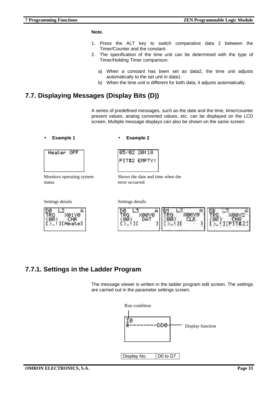#### **Note.**

- 1. Press the ALT key to switch comparative data 2 between the Timer/Counter and the constant.
- 2. The specification of the time unit can be determined with the type of Timer/Holding Timer comparison:
	- a) When a constant has been set as data2, the time unit adjusts automatically to the set unit in data1.
	- b) When the time unit is different for both data, it adjusts automatically.

#### **7.7. Displaying Messages (Display Bits (D))**

A series of predefined messages, such as the date and the time, timer/counter present values, analog converted values, etc. can be displayed on the LCD screen. Multiple message displays can also be shown on the same screen.

#### • **Example 1** • **Example 2**

05/02 20:18



Monitors operating system status

Settings details Settings details



PIT#2 EMPTY!

Shows the date and time when the error occurred



#### **7.7.1. Settings in the Ladder Program**

The message viewer is written in the ladder program edit screen. The settings are carried out in the parameter settings screen.

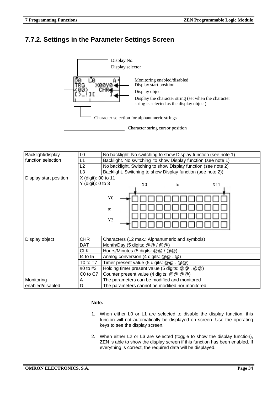#### **7.7.2. Settings in the Parameter Settings Screen**



| Backlight/display      | L <sub>0</sub>                                                      | No backlight. No switching to show Display function (see note 1) |  |
|------------------------|---------------------------------------------------------------------|------------------------------------------------------------------|--|
| function selection     | Backlight. No switching to show Display function (see note 1)<br>L1 |                                                                  |  |
|                        | L2                                                                  | No backlight. Switching to show Display function (see note 2)    |  |
|                        | L <sub>3</sub>                                                      | Backlight. Switching to show Display function (see note 2))      |  |
| Display start position | X (digit): 00 to 11                                                 |                                                                  |  |
|                        | $Y$ (digit): 0 to 3                                                 | X0<br>X11<br>to                                                  |  |
|                        |                                                                     |                                                                  |  |
|                        |                                                                     | ${\bf Y0}$                                                       |  |
|                        |                                                                     | to                                                               |  |
|                        |                                                                     | Y3                                                               |  |
|                        |                                                                     |                                                                  |  |
|                        |                                                                     |                                                                  |  |
| Display object         | <b>CHR</b>                                                          | Characters (12 max.: Alphanumeric and symbols)                   |  |
|                        | DAT                                                                 | Month/Day (5 digits: @@ / @@)                                    |  |
|                        | <b>CLK</b>                                                          | Hours/Minutes (5 digits: @ @ / @ @)                              |  |
|                        | 14 to 15                                                            | Analog conversion (4 digits: @ @ . @)                            |  |
|                        | T0 to T7                                                            | Timer present value (5 digits: $@@. @@$ )                        |  |
|                        | #0 to #3                                                            | Holding timer present value (5 digits: @ @ . @ @)                |  |
|                        | C0 to C7                                                            | Counter present value (4 digits: @ @ @ @)                        |  |
| Monitoring             | A                                                                   | The parameters can be modified and monitored                     |  |
| enabled/disabled       | D                                                                   | The parameters cannot be modified nor monitored                  |  |

#### **Note.**

- 1. When either L0 or L1 are selected to disable the display function, this funcion will not automatically be displayed on screen. Use the operating keys to see the display screen.
- 2. When either L2 or L3 are selected (toggle to show the display function), ZEN is able to show the display screen if this function has been enabled. If everything is correct, the required data will be displayed.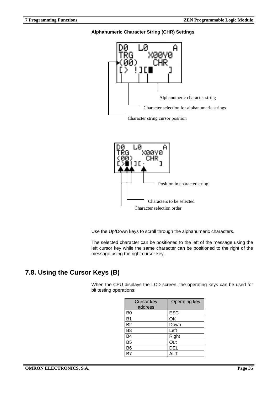#### **Alphanumeric Character String (CHR) Settings**





Use the Up/Down keys to scroll through the alphanumeric characters.

The selected character can be positioned to the left of the message using the left cursor key while the same character can be positioned to the right of the message using the right cursor key.

### **7.8. Using the Cursor Keys (B)**

When the CPU displays the LCD screen, the operating keys can be used for bit testing operations:

| <b>Cursor key</b><br>address | Operating key |
|------------------------------|---------------|
| B <sub>0</sub>               | <b>ESC</b>    |
| B <sub>1</sub>               | OK            |
| <b>B2</b>                    | Down          |
| B <sub>3</sub>               | Left          |
| B4                           | Right         |
| B <sub>5</sub>               | Out           |
| B <sub>6</sub>               | <b>DEL</b>    |
|                              | <b>ALT</b>    |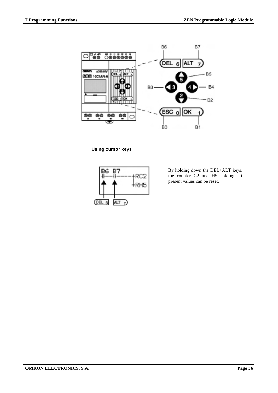

**Using cursor keys**



By holding down the DEL+ALT keys, the counter C2 and H5 holding bit present values can be reset.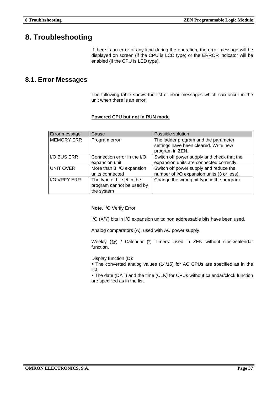# **8. Troubleshooting**

If there is an error of any kind during the operation, the error message will be displayed on screen (if the CPU is LCD type) or the ERROR indicator will be enabled (if the CPU is LED type).

#### **8.1. Error Messages**

The following table shows the list of error messages which can occur in the unit when there is an error:

#### **Powered CPU but not in RUN mode**

| Error message       | Cause                       | Possible solution                          |
|---------------------|-----------------------------|--------------------------------------------|
| <b>MEMORY ERR</b>   | Program error               | The ladder program and the parameter       |
|                     |                             | settings have been cleared. Write new      |
|                     |                             | program in ZEN.                            |
| I/O BUS ERR         | Connection error in the I/O | Switch off power supply and check that the |
|                     | expansion unit              | expansion units are connected correctly.   |
| UNIT OVER           | More than 3 I/O expansion   | Switch off power supply and reduce the     |
|                     | units connected             | number of I/O expansion units (3 or less). |
| <b>I/O VRFY ERR</b> | The type of bit set in the  | Change the wrong bit type in the program.  |
|                     | program cannot be used by   |                                            |
|                     | the system                  |                                            |

**Note.** I/O Verify Error

I/O (X/Y) bits in I/O expansion units: non addressable bits have been used.

Analog comparators (A): used with AC power supply.

Weekly (@) / Calendar (\*) Timers: used in ZEN without clock/calendar function.

Display function (D):

• The converted analog values (14/15) for AC CPUs are specified as in the list.

• The date (DAT) and the time (CLK) for CPUs without calendar/clock function are specified as in the list.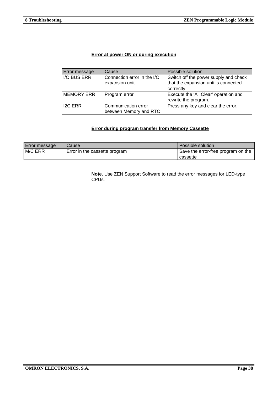#### **Error at power ON or during execution**

| Error message     | Cause                                         | Possible solution                                                                           |
|-------------------|-----------------------------------------------|---------------------------------------------------------------------------------------------|
| I/O BUS ERR       | Connection error in the I/O<br>expansion unit | Switch off the power supply and check<br>that the expansion unti is connected<br>correctly. |
| <b>MEMORY ERR</b> | Program error                                 | Execute the 'All Clear' operation and<br>rewrite the program.                               |
| <b>I2C ERR</b>    | Communication error<br>between Memory and RTC | Press any key and clear the error.                                                          |

#### **Error during program transfer from Memory Cassette**

| <b>Error message</b> | Cause                         | Possible solution                  |
|----------------------|-------------------------------|------------------------------------|
| M/C ERR              | Error in the cassette program | Save the error-free program on the |
|                      |                               | cassette                           |

**Note.** Use ZEN Support Software to read the error messages for LED-type CPUs.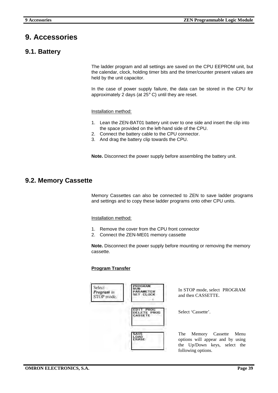# **9. Accessories**

#### **9.1. Battery**

The ladder program and all settings are saved on the CPU EEPROM unit, but the calendar, clock, holding timer bits and the timer/counter present values are held by the unit capacitor.

In the case of power supply failure, the data can be stored in the CPU for approximately 2 days (at 25° C) until they are reset.

Installation method:

- 1. Lean the ZEN-BAT01 battery unit over to one side and insert the clip into the space provided on the left-hand side of the CPU.
- 2. Connect the battery cable to the CPU connector.
- 3. And drag the battery clip towards the CPU.

**Note.** Disconnect the power supply before assembling the battery unit.

#### **9.2. Memory Cassette**

Memory Cassettes can also be connected to ZEN to save ladder programs and settings and to copy these ladder programs onto other CPU units.

#### Installation method:

- 1. Remove the cover from the CPU front connector
- 2. Connect the ZEN-ME01 memory cassette

**Note.** Disconnect the power supply before mounting or removing the memory cassette.

#### **Program Transfer**

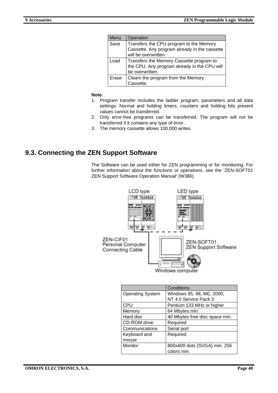| Menu  | Operation                                     |
|-------|-----------------------------------------------|
| Save  | Transfers the CPU program to the Memory       |
|       | Cassette. Any program already in the cassette |
|       | will be overwritten.                          |
| _oad  | Transfers the Memory Cassette program to      |
|       | the CPU. Any program already in the CPU will  |
|       | be overwritten.                               |
| Erase | Clears the program from the Memory            |
|       | Cassette                                      |

#### **Note**.

- 1. Program transfer includes the ladder program, parameters and all data settings. Normal and holding timers, counters and holding bits present values cannot be transferred.
- 2. Only error-free programs can be transferred. The program will not be transferred if it contains any type of error.
- 3. The memory cassette allows 100,000 writes.

#### **9.3. Connecting the ZEN Support Software**

The Software can be used either for ZEN programming or for monitoring. For further information about the functions or operations, see the 'ZEN-SOFT01 ZEN Support Software Operation Manual' (W386).



|                         | Conditions                     |
|-------------------------|--------------------------------|
| <b>Operating System</b> | Windows 95, 98, ME, 2000,      |
|                         | NT 4.0 Service Pack 3          |
| <b>CPU</b>              | Pentium 133 MHz or higher      |
| Memory                  | 64 Mbytes min.                 |
| Hard disc               | 40 Mbytes free disc space min. |
| CD-ROM drive            | Required                       |
| Communications          | Serial port                    |
| Keyboard and            | Required                       |
| mouse                   |                                |
| Monitor                 | 800x600 dots (SVGA) min. 256   |
|                         | colors min.                    |